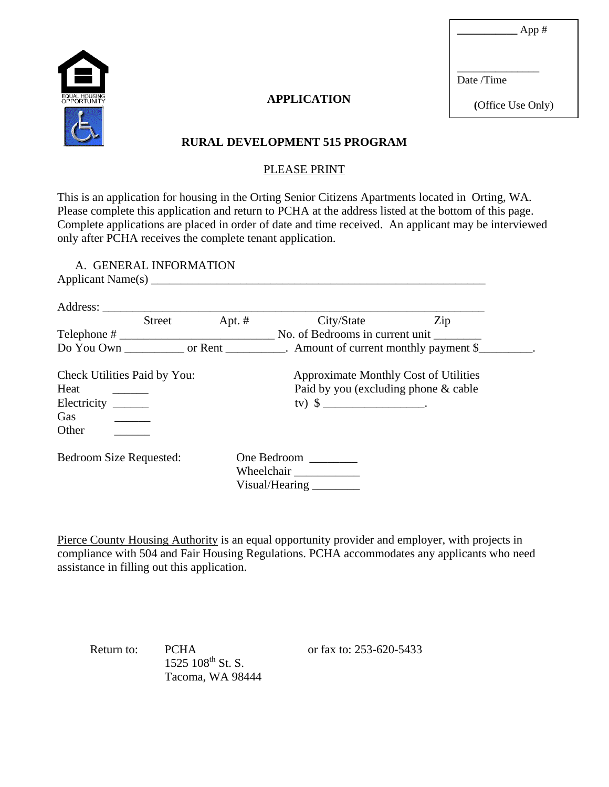**\_\_\_\_\_\_\_\_\_\_\_** App #



## **APPLICATION**

Date /Time

\_\_\_\_\_\_\_\_\_\_\_\_\_\_\_

**(**Office Use Only)

## **RURAL DEVELOPMENT 515 PROGRAM**

#### PLEASE PRINT

This is an application for housing in the Orting Senior Citizens Apartments located in Orting, WA. Please complete this application and return to PCHA at the address listed at the bottom of this page. Complete applications are placed in order of date and time received. An applicant may be interviewed only after PCHA receives the complete tenant application.

A. GENERAL INFORMATION Applicant Name $(s)$ 

| Address:<br><b>Street</b>    | Apt. $#$ | City/State                            | Zip |
|------------------------------|----------|---------------------------------------|-----|
| $\text{Telephone} \#$        |          | No. of Bedrooms in current unit       |     |
|                              |          |                                       |     |
| Check Utilities Paid by You: |          | Approximate Monthly Cost of Utilities |     |
| Heat                         |          | Paid by you (excluding phone & cable  |     |
| Electricity                  |          |                                       |     |
| Gas                          |          |                                       |     |
| Other                        |          |                                       |     |
| Bedroom Size Requested:      |          | One Bedroom                           |     |
|                              |          | Wheelchair                            |     |
|                              |          | Visual/Hearing                        |     |

Pierce County Housing Authority is an equal opportunity provider and employer, with projects in compliance with 504 and Fair Housing Regulations. PCHA accommodates any applicants who need assistance in filling out this application.

 $1525$   $108^{\text{th}}$  St. S. Tacoma, WA 98444

Return to: PCHA or fax to: 253-620-5433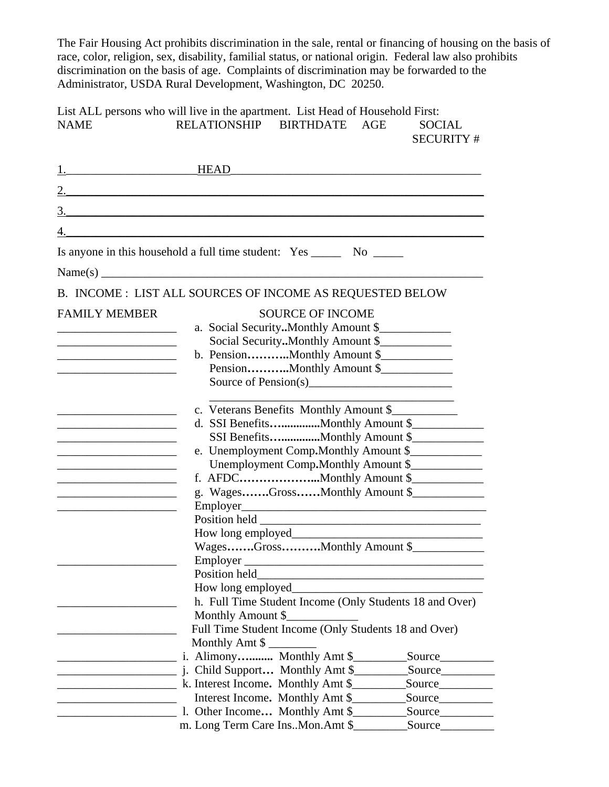The Fair Housing Act prohibits discrimination in the sale, rental or financing of housing on the basis of race, color, religion, sex, disability, familial status, or national origin. Federal law also prohibits discrimination on the basis of age. Complaints of discrimination may be forwarded to the Administrator, USDA Rural Development, Washington, DC 20250.

List ALL persons who will live in the apartment. List Head of Household First: NAME RELATIONSHIP BIRTHDATE AGE SOCIAL SECURITY #

| <u>1.</u> HEAD                                                                                                        |                                                                          |
|-----------------------------------------------------------------------------------------------------------------------|--------------------------------------------------------------------------|
|                                                                                                                       |                                                                          |
| 3.                                                                                                                    | <u> 1989 - Andrea Andrew Maria (h. 1989).</u>                            |
|                                                                                                                       |                                                                          |
|                                                                                                                       |                                                                          |
|                                                                                                                       | Is anyone in this household a full time student: Yes ________ No _______ |
|                                                                                                                       |                                                                          |
|                                                                                                                       | B. INCOME : LIST ALL SOURCES OF INCOME AS REQUESTED BELOW                |
| <b>FAMILY MEMBER</b>                                                                                                  | <b>SOURCE OF INCOME</b>                                                  |
| <u> 1980 - Johann Barn, mars eta bat eta bat erroman erroman erroman ez erroman erroman ez erroman ez erroman e</u>   | a. Social Security. Monthly Amount \$                                    |
| <u> 1989 - Johann Harry Barn, mars ar breist fan de Fryske kommunent fan de Fryske kommunent fan de Fryske kommun</u> | Social Security. Monthly Amount \$                                       |
| <u> 1989 - Johann John Stone, mars et al. (</u>                                                                       | b. PensionMonthly Amount \$                                              |
| the control of the control of the control of the control of the control of                                            | PensionMonthly Amount \$                                                 |
|                                                                                                                       |                                                                          |
|                                                                                                                       |                                                                          |
|                                                                                                                       | c. Veterans Benefits Monthly Amount \$                                   |
| <u> 1980 - Johann Barn, mars eta bat eta bat erroman erroman erroman ez erroman erroman ez erroman ez erroman e</u>   | d. SSI BenefitsMonthly Amount \$                                         |
| <u> 1989 - Johann Barbara, martxa alemaniar a</u>                                                                     | SSI BenefitsMonthly Amount \$                                            |
|                                                                                                                       | e. Unemployment Comp.Monthly Amount \$                                   |
|                                                                                                                       | Unemployment Comp.Monthly Amount \$                                      |
| <u> 1989 - Johann Barbara, martxa alemaniar a</u>                                                                     |                                                                          |
| the control of the control of the control of the control of the control of                                            | g. WagesGrossMonthly Amount \$                                           |
| <u> 1989 - Johann Barbara, martin amerikan basar dan berasal dalam basar dalam basar dalam basar dalam basar dala</u> |                                                                          |
|                                                                                                                       |                                                                          |
|                                                                                                                       |                                                                          |
|                                                                                                                       | WagesGrossMonthly Amount \$                                              |
|                                                                                                                       | Employer                                                                 |
|                                                                                                                       |                                                                          |
|                                                                                                                       |                                                                          |
|                                                                                                                       | h. Full Time Student Income (Only Students 18 and Over)                  |
|                                                                                                                       | Monthly Amount \$                                                        |
|                                                                                                                       | Full Time Student Income (Only Students 18 and Over)                     |
|                                                                                                                       | Monthly Amt $\frac{1}{2}$                                                |
|                                                                                                                       | i. Alimony Monthly Amt \$_<br>Source_                                    |
|                                                                                                                       | j. Child Support Monthly Amt \$<br>Source                                |
|                                                                                                                       |                                                                          |
|                                                                                                                       | Interest Income. Monthly Amt \$<br>Source                                |
|                                                                                                                       | 1. Other Income Monthly Amt \$<br>Source Source                          |
|                                                                                                                       |                                                                          |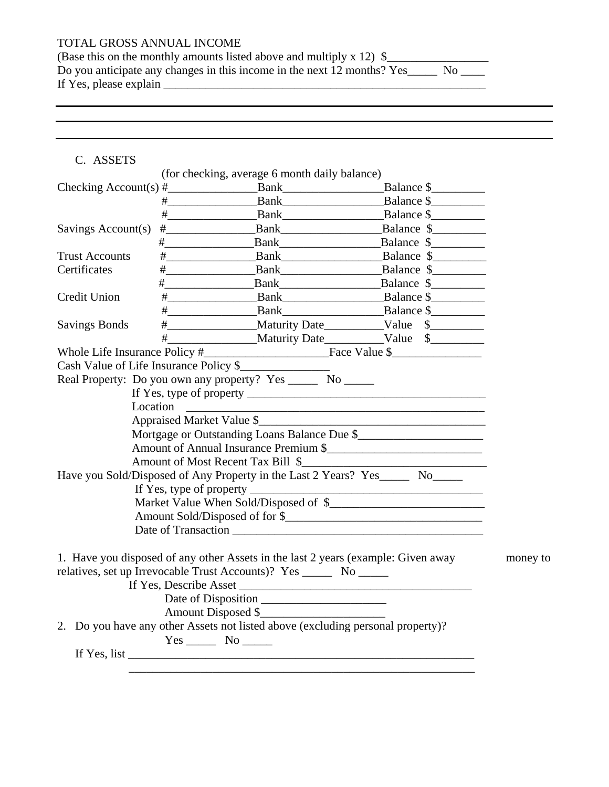# TOTAL GROSS ANNUAL INCOME

| (Base this on the monthly amounts listed above and multiply x 12) $\S$  |
|-------------------------------------------------------------------------|
| Do you anticipate any changes in this income in the next 12 months? Yes |
| If Yes, please explain                                                  |

## C. ASSETS

|                                        |                   | (for checking, average 6 month daily balance)                                                                                                                                                                                                                                             |                                                                                                                                                                                                                                |          |
|----------------------------------------|-------------------|-------------------------------------------------------------------------------------------------------------------------------------------------------------------------------------------------------------------------------------------------------------------------------------------|--------------------------------------------------------------------------------------------------------------------------------------------------------------------------------------------------------------------------------|----------|
|                                        |                   | Checking $Account(s) \#$ Bank Bank                                                                                                                                                                                                                                                        | Balance \$                                                                                                                                                                                                                     |          |
|                                        |                   |                                                                                                                                                                                                                                                                                           | Balance \$                                                                                                                                                                                                                     |          |
|                                        |                   | $#$ Bank                                                                                                                                                                                                                                                                                  | Balance \$                                                                                                                                                                                                                     |          |
| Savings Account(s)                     |                   | Bank                                                                                                                                                                                                                                                                                      | Balance \$                                                                                                                                                                                                                     |          |
|                                        |                   |                                                                                                                                                                                                                                                                                           | Balance \$                                                                                                                                                                                                                     |          |
| <b>Trust Accounts</b>                  |                   |                                                                                                                                                                                                                                                                                           | Balance \$                                                                                                                                                                                                                     |          |
| Certificates                           |                   |                                                                                                                                                                                                                                                                                           | Bank<br>Balance \$                                                                                                                                                                                                             |          |
|                                        | $\#$              |                                                                                                                                                                                                                                                                                           |                                                                                                                                                                                                                                |          |
| Credit Union                           |                   |                                                                                                                                                                                                                                                                                           |                                                                                                                                                                                                                                |          |
|                                        |                   | # Bank Balance \$                                                                                                                                                                                                                                                                         |                                                                                                                                                                                                                                |          |
| <b>Savings Bonds</b>                   |                   |                                                                                                                                                                                                                                                                                           | Maturity Date Maturity Date Maturity Date Maturity Date Maturity Date Maturity Date Maturity Date Maturity Date Maturity Date Maturity Date Maturity Date Maturity Date Maturity Date Maturity Date Maturity Date Maturity Dat |          |
|                                        |                   |                                                                                                                                                                                                                                                                                           |                                                                                                                                                                                                                                |          |
|                                        |                   |                                                                                                                                                                                                                                                                                           |                                                                                                                                                                                                                                |          |
| Cash Value of Life Insurance Policy \$ |                   |                                                                                                                                                                                                                                                                                           |                                                                                                                                                                                                                                |          |
|                                        |                   | Real Property: Do you own any property? Yes _______ No ______                                                                                                                                                                                                                             |                                                                                                                                                                                                                                |          |
|                                        |                   |                                                                                                                                                                                                                                                                                           |                                                                                                                                                                                                                                |          |
|                                        | Location          |                                                                                                                                                                                                                                                                                           | <u> 1989 - Johann Barbara, margaret eta idazlearia (h. 1989).</u>                                                                                                                                                              |          |
|                                        |                   |                                                                                                                                                                                                                                                                                           |                                                                                                                                                                                                                                |          |
|                                        |                   | Mortgage or Outstanding Loans Balance Due \$                                                                                                                                                                                                                                              |                                                                                                                                                                                                                                |          |
|                                        |                   | Amount of Annual Insurance Premium \$                                                                                                                                                                                                                                                     |                                                                                                                                                                                                                                |          |
|                                        |                   |                                                                                                                                                                                                                                                                                           |                                                                                                                                                                                                                                |          |
|                                        |                   | Have you Sold/Disposed of Any Property in the Last 2 Years? Yes_______ No______                                                                                                                                                                                                           |                                                                                                                                                                                                                                |          |
|                                        |                   |                                                                                                                                                                                                                                                                                           |                                                                                                                                                                                                                                |          |
|                                        |                   |                                                                                                                                                                                                                                                                                           |                                                                                                                                                                                                                                |          |
|                                        |                   |                                                                                                                                                                                                                                                                                           |                                                                                                                                                                                                                                |          |
|                                        |                   |                                                                                                                                                                                                                                                                                           |                                                                                                                                                                                                                                |          |
|                                        | $Yes$ No $\qquad$ | 1. Have you disposed of any other Assets in the last 2 years (example: Given away<br>relatives, set up Irrevocable Trust Accounts)? Yes _______ No ______<br>Date of Disposition<br>Amount Disposed \$<br>2. Do you have any other Assets not listed above (excluding personal property)? |                                                                                                                                                                                                                                | money to |
|                                        |                   | If Yes, list $\_\_$                                                                                                                                                                                                                                                                       |                                                                                                                                                                                                                                |          |
|                                        |                   |                                                                                                                                                                                                                                                                                           |                                                                                                                                                                                                                                |          |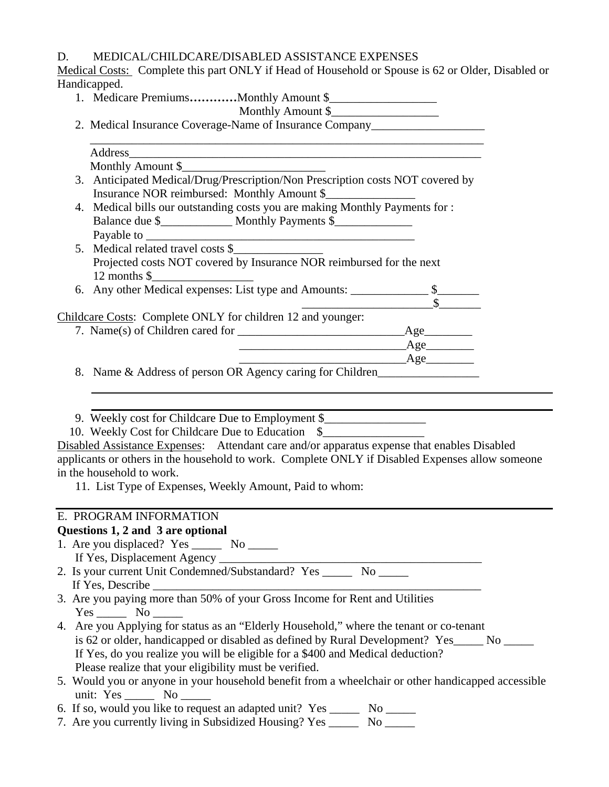## D. MEDICAL/CHILDCARE/DISABLED ASSISTANCE EXPENSES

Medical Costs: Complete this part ONLY if Head of Household or Spouse is 62 or Older, Disabled or Handicapped.

1. Medicare Premiums...........Monthly Amount \$\_\_\_\_\_\_\_\_\_\_\_\_\_\_\_\_\_\_\_\_\_\_\_\_\_\_\_\_\_\_\_\_\_

# Monthly Amount \$\_\_\_\_\_\_\_\_\_\_\_\_\_\_\_\_\_\_

2. Medical Insurance Coverage-Name of Insurance Company\_\_\_\_\_\_\_\_\_\_\_\_\_\_\_\_\_\_\_\_\_\_\_\_\_

| Address_<br><u> 1980 - Johann Barn, amerikan besteman besteman besteman besteman besteman besteman besteman besteman besteman</u>                                                |
|----------------------------------------------------------------------------------------------------------------------------------------------------------------------------------|
| Monthly Amount \$                                                                                                                                                                |
| 3. Anticipated Medical/Drug/Prescription/Non Prescription costs NOT covered by                                                                                                   |
| Insurance NOR reimbursed: Monthly Amount \$                                                                                                                                      |
| 4. Medical bills our outstanding costs you are making Monthly Payments for :                                                                                                     |
|                                                                                                                                                                                  |
|                                                                                                                                                                                  |
|                                                                                                                                                                                  |
| Projected costs NOT covered by Insurance NOR reimbursed for the next                                                                                                             |
|                                                                                                                                                                                  |
|                                                                                                                                                                                  |
| Projected Costs<br>12 months \$<br>6. Any other Medical expenses: List type and Amounts: <u>S<br/> S<br/> S</u>                                                                  |
| Childcare Costs: Complete ONLY for children 12 and younger:                                                                                                                      |
|                                                                                                                                                                                  |
|                                                                                                                                                                                  |
|                                                                                                                                                                                  |
| 8. Name & Address of person OR Agency caring for Children                                                                                                                        |
| 9. Weekly cost for Childcare Due to Employment \$                                                                                                                                |
| 10. Weekly Cost for Childcare Due to Education \$<br>Disabled Assistance Expenses: Attendant care and/or apparatus expense that enables Disabled                                 |
| applicants or others in the household to work. Complete ONLY if Disabled Expenses allow someone                                                                                  |
| in the household to work.                                                                                                                                                        |
| 11. List Type of Expenses, Weekly Amount, Paid to whom:                                                                                                                          |
| E. PROGRAM INFORMATION                                                                                                                                                           |
| Questions 1, 2 and 3 are optional                                                                                                                                                |
| 1. Are you displaced? Yes _________ No _______                                                                                                                                   |
|                                                                                                                                                                                  |
|                                                                                                                                                                                  |
| If Yes, Describe                                                                                                                                                                 |
| 3. Are you paying more than 50% of your Gross Income for Rent and Utilities                                                                                                      |
|                                                                                                                                                                                  |
| 4. Are you Applying for status as an "Elderly Household," where the tenant or co-tenant                                                                                          |
| is 62 or older, handicapped or disabled as defined by Rural Development? Yes_____ No _____                                                                                       |
| If Yes, do you realize you will be eligible for a \$400 and Medical deduction?                                                                                                   |
|                                                                                                                                                                                  |
| Please realize that your eligibility must be verified.                                                                                                                           |
| unit: $Yes \_\_\_\_\$ No $\_\_\_\$                                                                                                                                               |
| 5. Would you or anyone in your household benefit from a wheelchair or other handicapped accessible<br>6. If so, would you like to request an adapted unit? Yes _______ No ______ |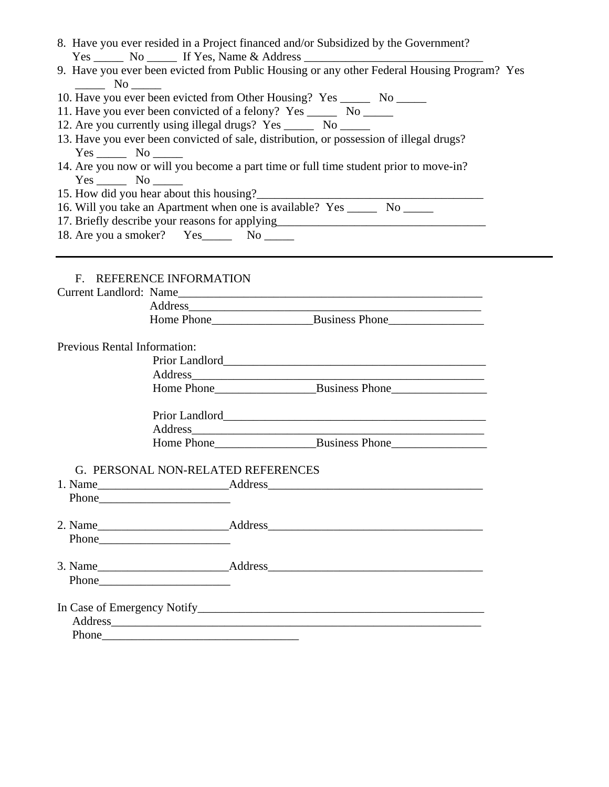|                                    | 8. Have you ever resided in a Project financed and/or Subsidized by the Government?<br>Yes _________ No __________ If Yes, Name & Address ______________________________                                                       |  |
|------------------------------------|--------------------------------------------------------------------------------------------------------------------------------------------------------------------------------------------------------------------------------|--|
|                                    | 9. Have you ever been evicted from Public Housing or any other Federal Housing Program? Yes                                                                                                                                    |  |
| $\frac{\ }{\ }$ No $\frac{\ }{\ }$ |                                                                                                                                                                                                                                |  |
|                                    | 10. Have you ever been evicted from Other Housing? Yes _______ No ______                                                                                                                                                       |  |
|                                    |                                                                                                                                                                                                                                |  |
|                                    | 12. Are you currently using illegal drugs? Yes _______ No ______                                                                                                                                                               |  |
|                                    | 13. Have you ever been convicted of sale, distribution, or possession of illegal drugs?                                                                                                                                        |  |
| $Yes \_\_\_\_$ No $\_\_\_\_\$      |                                                                                                                                                                                                                                |  |
|                                    | 14. Are you now or will you become a part time or full time student prior to move-in?                                                                                                                                          |  |
| $Yes$ No                           |                                                                                                                                                                                                                                |  |
|                                    |                                                                                                                                                                                                                                |  |
|                                    | 16. Will you take an Apartment when one is available? Yes _______ No ______                                                                                                                                                    |  |
|                                    | 17. Briefly describe your reasons for applying__________________________________                                                                                                                                               |  |
|                                    | 18. Are you a smoker? Yes No No                                                                                                                                                                                                |  |
|                                    |                                                                                                                                                                                                                                |  |
|                                    |                                                                                                                                                                                                                                |  |
|                                    | F. REFERENCE INFORMATION                                                                                                                                                                                                       |  |
|                                    |                                                                                                                                                                                                                                |  |
|                                    | Current Landlord: Name                                                                                                                                                                                                         |  |
|                                    | Address and the contract of the contract of the contract of the contract of the contract of the contract of the contract of the contract of the contract of the contract of the contract of the contract of the contract of th |  |
|                                    |                                                                                                                                                                                                                                |  |
| Previous Rental Information:       |                                                                                                                                                                                                                                |  |
|                                    |                                                                                                                                                                                                                                |  |
|                                    |                                                                                                                                                                                                                                |  |
|                                    | Address and the contract of the contract of the contract of the contract of the contract of the contract of the contract of the contract of the contract of the contract of the contract of the contract of the contract of th |  |
|                                    |                                                                                                                                                                                                                                |  |
|                                    |                                                                                                                                                                                                                                |  |
|                                    |                                                                                                                                                                                                                                |  |
|                                    |                                                                                                                                                                                                                                |  |
|                                    |                                                                                                                                                                                                                                |  |
|                                    |                                                                                                                                                                                                                                |  |
|                                    | G. PERSONAL NON-RELATED REFERENCES                                                                                                                                                                                             |  |
|                                    |                                                                                                                                                                                                                                |  |
|                                    |                                                                                                                                                                                                                                |  |
|                                    |                                                                                                                                                                                                                                |  |
|                                    |                                                                                                                                                                                                                                |  |
|                                    |                                                                                                                                                                                                                                |  |
|                                    |                                                                                                                                                                                                                                |  |
|                                    |                                                                                                                                                                                                                                |  |
|                                    |                                                                                                                                                                                                                                |  |
|                                    |                                                                                                                                                                                                                                |  |
|                                    |                                                                                                                                                                                                                                |  |
|                                    | Address and the contract of the contract of the contract of the contract of the contract of the contract of the contract of the contract of the contract of the contract of the contract of the contract of the contract of th |  |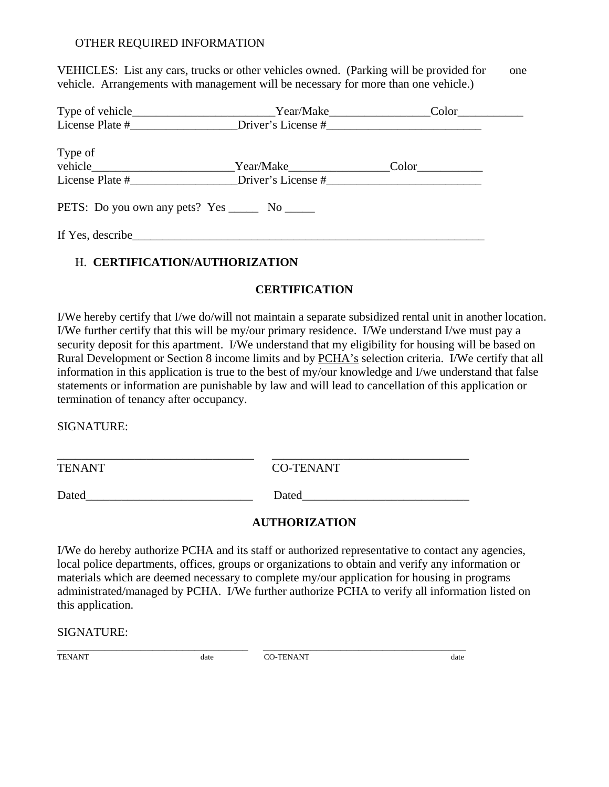#### OTHER REQUIRED INFORMATION

VEHICLES: List any cars, trucks or other vehicles owned. (Parking will be provided for one vehicle. Arrangements with management will be necessary for more than one vehicle.)

| Type of vehicle____________________________Year/Make_____________________________ | Color |
|-----------------------------------------------------------------------------------|-------|
| License Plate # Driver's License #                                                |       |
|                                                                                   |       |
| Type of                                                                           |       |
| vehicle                                                                           | Color |
| License Plate # Driver's License #                                                |       |
|                                                                                   |       |
| PETS: Do you own any pets? Yes _______ No ______                                  |       |
|                                                                                   |       |
| If Yes, describe                                                                  |       |

## H. **CERTIFICATION/AUTHORIZATION**

### **CERTIFICATION**

I/We hereby certify that I/we do/will not maintain a separate subsidized rental unit in another location. I/We further certify that this will be my/our primary residence. I/We understand I/we must pay a security deposit for this apartment. I/We understand that my eligibility for housing will be based on Rural Development or Section 8 income limits and by PCHA's selection criteria. I/We certify that all information in this application is true to the best of my/our knowledge and I/we understand that false statements or information are punishable by law and will lead to cancellation of this application or termination of tenancy after occupancy.

SIGNATURE:

| <b>TENANT</b> | <b>CO-TENANT</b> |
|---------------|------------------|
| Dated         | Dated            |

## **AUTHORIZATION**

I/We do hereby authorize PCHA and its staff or authorized representative to contact any agencies, local police departments, offices, groups or organizations to obtain and verify any information or materials which are deemed necessary to complete my/our application for housing in programs administrated/managed by PCHA. I/We further authorize PCHA to verify all information listed on this application.

#### SIGNATURE:

\_\_\_\_\_\_\_\_\_\_\_\_\_\_\_\_\_\_\_\_\_\_\_\_\_\_\_\_\_\_\_\_ \_\_\_\_\_\_\_\_\_\_\_\_\_\_\_\_\_\_\_\_\_\_\_\_\_\_\_\_\_\_\_\_\_\_

TENANT date CO-TENANT date